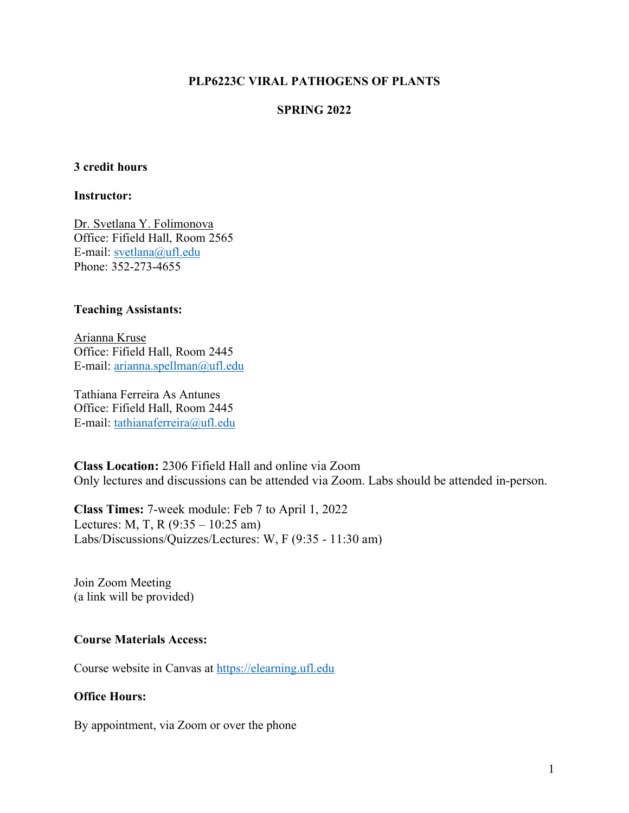#### **PLP6223C VIRAL PATHOGENS OF PLANTS**

#### **SPRING 2022**

#### **3 credit hours**

#### **Instructor:**

Dr. Svetlana Y. Folimonova Office: Fifield Hall, Room 2565 E-mail: svetlana@ufl.edu Phone: 352-273-4655

#### **Teaching Assistants:**

Arianna Kruse Office: Fifield Hall, Room 2445 E-mail: arianna.spellman@ufl.edu

Tathiana Ferreira As Antunes Office: Fifield Hall, Room 2445 E-mail: tathianaferreira@ufl.edu

**Class Location:** 2306 Fifield Hall and online via Zoom Only lectures and discussions can be attended via Zoom. Labs should be attended in-person.

**Class Times:** 7-week module: Feb 7 to April 1, 2022 Lectures: M, T, R  $(9:35 - 10:25 \text{ am})$ Labs/Discussions/Quizzes/Lectures: W, F (9:35 - 11:30 am)

Join Zoom Meeting (a link will be provided)

#### **Course Materials Access:**

Course website in Canvas at https://elearning.ufl.edu

#### **Office Hours:**

By appointment, via Zoom or over the phone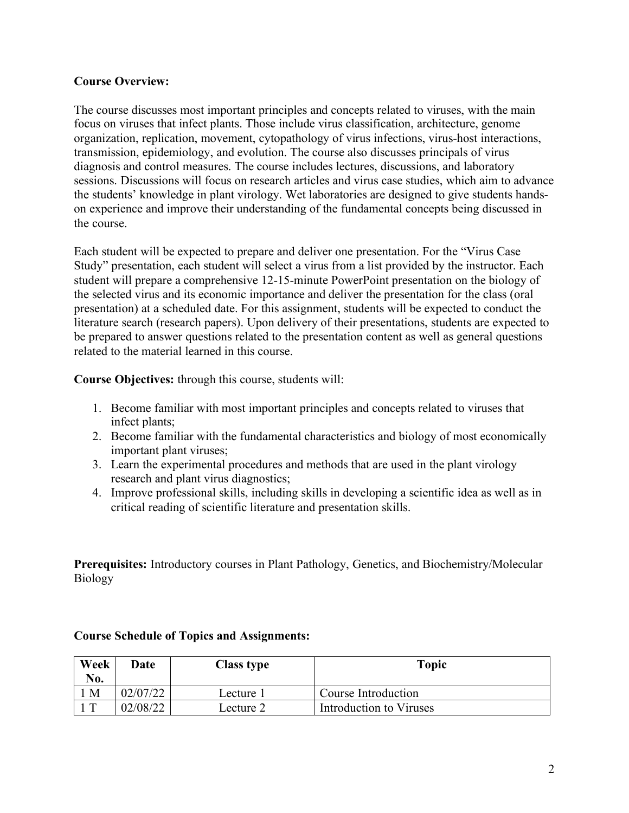#### **Course Overview:**

The course discusses most important principles and concepts related to viruses, with the main focus on viruses that infect plants. Those include virus classification, architecture, genome organization, replication, movement, cytopathology of virus infections, virus-host interactions, transmission, epidemiology, and evolution. The course also discusses principals of virus diagnosis and control measures. The course includes lectures, discussions, and laboratory sessions. Discussions will focus on research articles and virus case studies, which aim to advance the students' knowledge in plant virology. Wet laboratories are designed to give students handson experience and improve their understanding of the fundamental concepts being discussed in the course.

Each student will be expected to prepare and deliver one presentation. For the "Virus Case Study" presentation, each student will select a virus from a list provided by the instructor. Each student will prepare a comprehensive 12-15-minute PowerPoint presentation on the biology of the selected virus and its economic importance and deliver the presentation for the class (oral presentation) at a scheduled date. For this assignment, students will be expected to conduct the literature search (research papers). Upon delivery of their presentations, students are expected to be prepared to answer questions related to the presentation content as well as general questions related to the material learned in this course.

**Course Objectives:** through this course, students will:

- 1. Become familiar with most important principles and concepts related to viruses that infect plants;
- 2. Become familiar with the fundamental characteristics and biology of most economically important plant viruses;
- 3. Learn the experimental procedures and methods that are used in the plant virology research and plant virus diagnostics;
- 4. Improve professional skills, including skills in developing a scientific idea as well as in critical reading of scientific literature and presentation skills.

**Prerequisites:** Introductory courses in Plant Pathology, Genetics, and Biochemistry/Molecular Biology

| Week<br>No. | Date     | <b>Class type</b> | <b>Topic</b>            |
|-------------|----------|-------------------|-------------------------|
| M           | 02/07/22 | Lecture 1         | Course Introduction     |
| $\top$      | 02/08/22 | Lecture 2         | Introduction to Viruses |

#### **Course Schedule of Topics and Assignments:**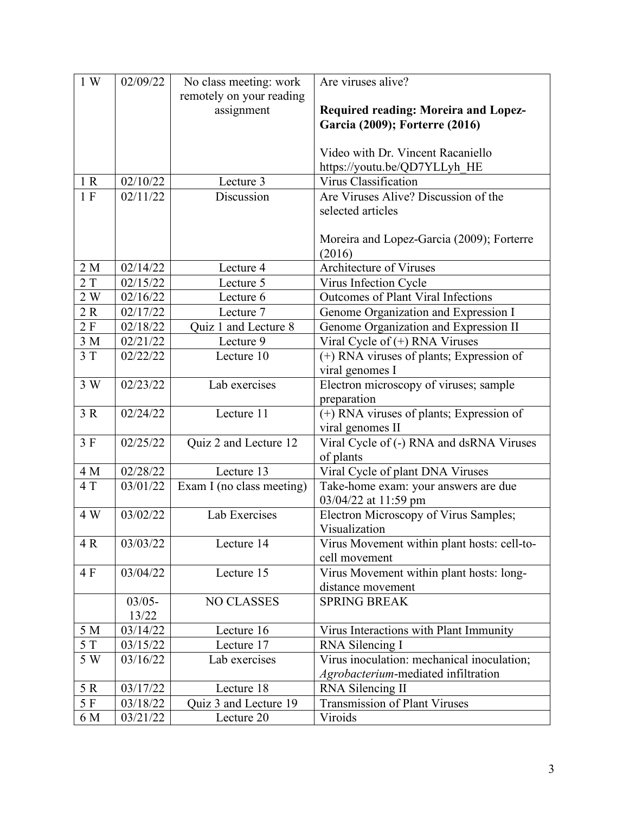| 1 W | 02/09/22  | No class meeting: work    | Are viruses alive?                                           |
|-----|-----------|---------------------------|--------------------------------------------------------------|
|     |           | remotely on your reading  |                                                              |
|     |           | assignment                | Required reading: Moreira and Lopez-                         |
|     |           |                           | Garcia (2009); Forterre (2016)                               |
|     |           |                           |                                                              |
|     |           |                           | Video with Dr. Vincent Racaniello                            |
| 1 R | 02/10/22  |                           | https://youtu.be/QD7YLLyh_HE                                 |
| 1 F | 02/11/22  | Lecture 3<br>Discussion   | Virus Classification<br>Are Viruses Alive? Discussion of the |
|     |           |                           | selected articles                                            |
|     |           |                           |                                                              |
|     |           |                           | Moreira and Lopez-Garcia (2009); Forterre                    |
|     |           |                           | (2016)                                                       |
| 2 M | 02/14/22  | Lecture 4                 | Architecture of Viruses                                      |
| 2T  | 02/15/22  | Lecture 5                 | Virus Infection Cycle                                        |
| 2 W | 02/16/22  | Lecture 6                 | <b>Outcomes of Plant Viral Infections</b>                    |
| 2R  | 02/17/22  | Lecture 7                 | Genome Organization and Expression I                         |
| 2F  | 02/18/22  | Quiz 1 and Lecture 8      | Genome Organization and Expression II                        |
| 3M  | 02/21/22  | Lecture 9                 | Viral Cycle of (+) RNA Viruses                               |
| 3T  | 02/22/22  | Lecture 10                | $(+)$ RNA viruses of plants; Expression of                   |
|     |           |                           | viral genomes I                                              |
| 3W  | 02/23/22  | Lab exercises             | Electron microscopy of viruses; sample                       |
|     |           |                           | preparation                                                  |
| 3 R | 02/24/22  | Lecture 11                | (+) RNA viruses of plants; Expression of                     |
|     |           |                           | viral genomes II                                             |
| 3F  | 02/25/22  | Quiz 2 and Lecture 12     | Viral Cycle of (-) RNA and dsRNA Viruses                     |
|     |           |                           | of plants                                                    |
| 4 M | 02/28/22  | Lecture 13                | Viral Cycle of plant DNA Viruses                             |
| 4 T | 03/01/22  | Exam I (no class meeting) | Take-home exam: your answers are due                         |
| 4 W | 03/02/22  | Lab Exercises             | 03/04/22 at 11:59 pm                                         |
|     |           |                           | Electron Microscopy of Virus Samples;<br>Visualization       |
| 4 R | 03/03/22  | Lecture 14                | Virus Movement within plant hosts: cell-to-                  |
|     |           |                           | cell movement                                                |
| 4 F | 03/04/22  | Lecture 15                | Virus Movement within plant hosts: long-                     |
|     |           |                           | distance movement                                            |
|     | $03/05 -$ | <b>NO CLASSES</b>         | <b>SPRING BREAK</b>                                          |
|     | 13/22     |                           |                                                              |
| 5 M | 03/14/22  | Lecture 16                | Virus Interactions with Plant Immunity                       |
| 5 T | 03/15/22  | Lecture 17                | RNA Silencing I                                              |
| 5 W | 03/16/22  | Lab exercises             | Virus inoculation: mechanical inoculation;                   |
|     |           |                           | Agrobacterium-mediated infiltration                          |
| 5 R | 03/17/22  | Lecture 18                | RNA Silencing II                                             |
| 5 F | 03/18/22  | Quiz 3 and Lecture 19     | Transmission of Plant Viruses                                |
| 6 M | 03/21/22  | Lecture 20                | Viroids                                                      |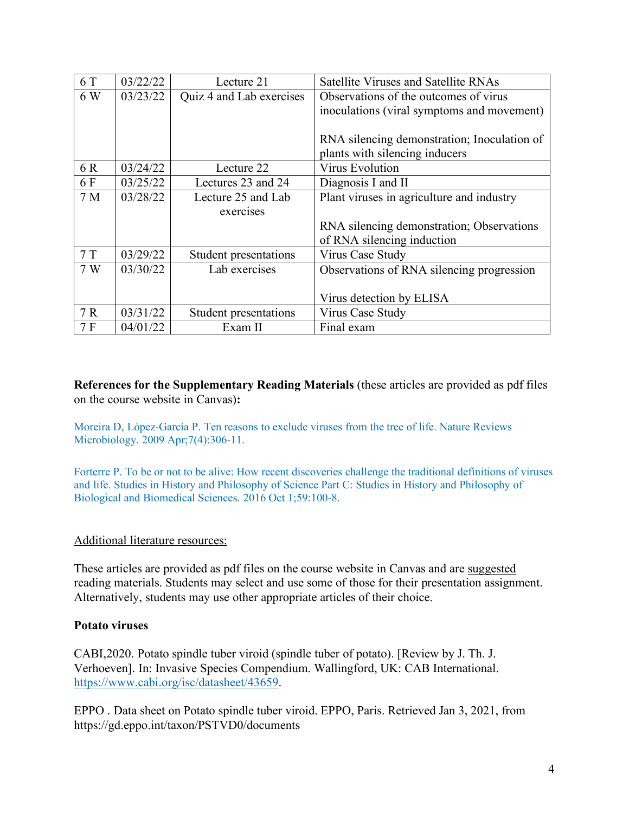| 6 T            | 03/22/22 | Lecture 21               | Satellite Viruses and Satellite RNAs        |
|----------------|----------|--------------------------|---------------------------------------------|
| 6 W            | 03/23/22 | Quiz 4 and Lab exercises | Observations of the outcomes of virus       |
|                |          |                          | inoculations (viral symptoms and movement)  |
|                |          |                          |                                             |
|                |          |                          | RNA silencing demonstration; Inoculation of |
|                |          |                          | plants with silencing inducers              |
| 6 R            | 03/24/22 | Lecture 22               | <b>Virus Evolution</b>                      |
| 6 F            | 03/25/22 | Lectures 23 and 24       | Diagnosis I and II                          |
| 7 <sub>M</sub> | 03/28/22 | Lecture 25 and Lab       | Plant viruses in agriculture and industry   |
|                |          | exercises                |                                             |
|                |          |                          | RNA silencing demonstration; Observations   |
|                |          |                          | of RNA silencing induction                  |
| 7T             | 03/29/22 | Student presentations    | Virus Case Study                            |
| 7 W            | 03/30/22 | Lab exercises            | Observations of RNA silencing progression   |
|                |          |                          |                                             |
|                |          |                          | Virus detection by ELISA                    |
| 7R             | 03/31/22 | Student presentations    | Virus Case Study                            |
| 7F             | 04/01/22 | Exam II                  | Final exam                                  |

**References for the Supplementary Reading Materials** (these articles are provided as pdf files on the course website in Canvas)**:**

Moreira D, López-García P. Ten reasons to exclude viruses from the tree of life. Nature Reviews Microbiology. 2009 Apr;7(4):306-11.

Forterre P. To be or not to be alive: How recent discoveries challenge the traditional definitions of viruses and life. Studies in History and Philosophy of Science Part C: Studies in History and Philosophy of Biological and Biomedical Sciences. 2016 Oct 1;59:100-8.

#### Additional literature resources:

These articles are provided as pdf files on the course website in Canvas and are suggested reading materials. Students may select and use some of those for their presentation assignment. Alternatively, students may use other appropriate articles of their choice.

#### **Potato viruses**

CABI,2020. Potato spindle tuber viroid (spindle tuber of potato). [Review by J. Th. J. Verhoeven]. In: Invasive Species Compendium. Wallingford, UK: CAB International. https://www.cabi.org/isc/datasheet/43659.

EPPO . Data sheet on Potato spindle tuber viroid. EPPO, Paris. Retrieved Jan 3, 2021, from https://gd.eppo.int/taxon/PSTVD0/documents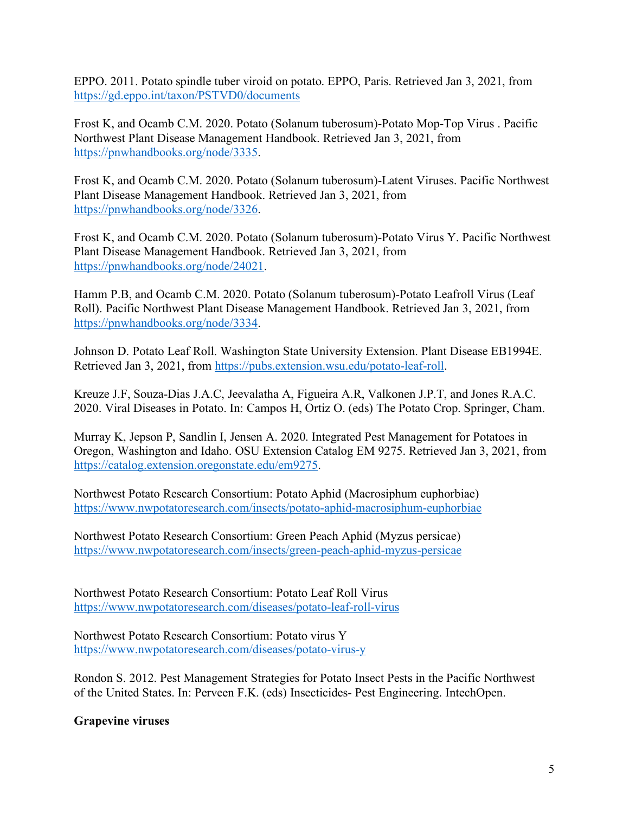EPPO. 2011. Potato spindle tuber viroid on potato. EPPO, Paris. Retrieved Jan 3, 2021, from https://gd.eppo.int/taxon/PSTVD0/documents

Frost K, and Ocamb C.M. 2020. Potato (Solanum tuberosum)-Potato Mop-Top Virus . Pacific Northwest Plant Disease Management Handbook. Retrieved Jan 3, 2021, from https://pnwhandbooks.org/node/3335.

Frost K, and Ocamb C.M. 2020. Potato (Solanum tuberosum)-Latent Viruses. Pacific Northwest Plant Disease Management Handbook. Retrieved Jan 3, 2021, from https://pnwhandbooks.org/node/3326.

Frost K, and Ocamb C.M. 2020. Potato (Solanum tuberosum)-Potato Virus Y. Pacific Northwest Plant Disease Management Handbook. Retrieved Jan 3, 2021, from https://pnwhandbooks.org/node/24021.

Hamm P.B, and Ocamb C.M. 2020. Potato (Solanum tuberosum)-Potato Leafroll Virus (Leaf Roll). Pacific Northwest Plant Disease Management Handbook. Retrieved Jan 3, 2021, from https://pnwhandbooks.org/node/3334.

Johnson D. Potato Leaf Roll. Washington State University Extension. Plant Disease EB1994E. Retrieved Jan 3, 2021, from https://pubs.extension.wsu.edu/potato-leaf-roll.

Kreuze J.F, Souza-Dias J.A.C, Jeevalatha A, Figueira A.R, Valkonen J.P.T, and Jones R.A.C. 2020. Viral Diseases in Potato. In: Campos H, Ortiz O. (eds) The Potato Crop. Springer, Cham.

Murray K, Jepson P, Sandlin I, Jensen A. 2020. Integrated Pest Management for Potatoes in Oregon, Washington and Idaho. OSU Extension Catalog EM 9275. Retrieved Jan 3, 2021, from https://catalog.extension.oregonstate.edu/em9275.

Northwest Potato Research Consortium: Potato Aphid (Macrosiphum euphorbiae) https://www.nwpotatoresearch.com/insects/potato-aphid-macrosiphum-euphorbiae

Northwest Potato Research Consortium: Green Peach Aphid (Myzus persicae) https://www.nwpotatoresearch.com/insects/green-peach-aphid-myzus-persicae

Northwest Potato Research Consortium: Potato Leaf Roll Virus https://www.nwpotatoresearch.com/diseases/potato-leaf-roll-virus

Northwest Potato Research Consortium: Potato virus Y https://www.nwpotatoresearch.com/diseases/potato-virus-y

Rondon S. 2012. Pest Management Strategies for Potato Insect Pests in the Pacific Northwest of the United States. In: Perveen F.K. (eds) Insecticides- Pest Engineering. IntechOpen.

## **Grapevine viruses**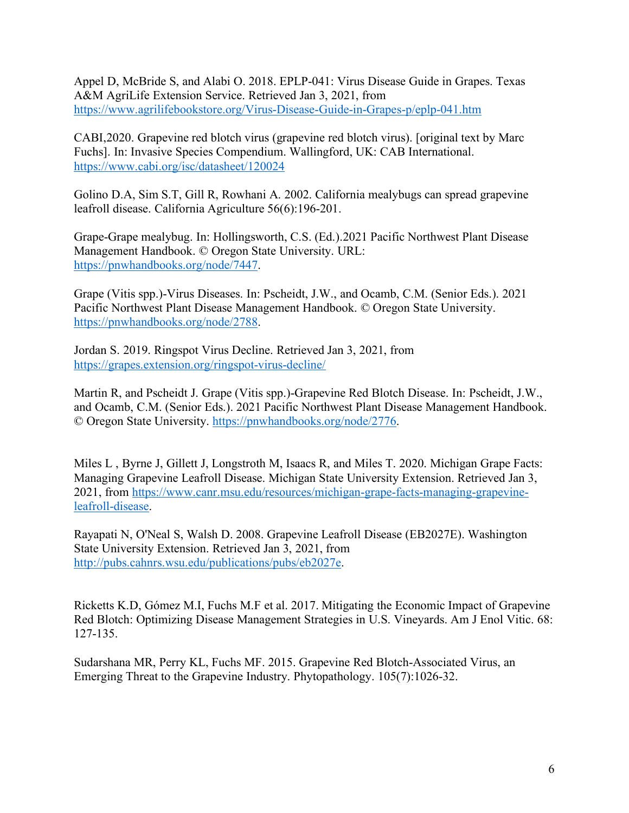Appel D, McBride S, and Alabi O. 2018. EPLP-041: Virus Disease Guide in Grapes. Texas A&M AgriLife Extension Service. Retrieved Jan 3, 2021, from https://www.agrilifebookstore.org/Virus-Disease-Guide-in-Grapes-p/eplp-041.htm

CABI,2020. Grapevine red blotch virus (grapevine red blotch virus). [original text by Marc Fuchs]. In: Invasive Species Compendium. Wallingford, UK: CAB International. https://www.cabi.org/isc/datasheet/120024

Golino D.A, Sim S.T, Gill R, Rowhani A. 2002. California mealybugs can spread grapevine leafroll disease. California Agriculture 56(6):196-201.

Grape-Grape mealybug. In: Hollingsworth, C.S. (Ed.).2021 Pacific Northwest Plant Disease Management Handbook. © Oregon State University. URL: https://pnwhandbooks.org/node/7447.

Grape (Vitis spp.)-Virus Diseases. In: Pscheidt, J.W., and Ocamb, C.M. (Senior Eds.). 2021 Pacific Northwest Plant Disease Management Handbook. © Oregon State University. https://pnwhandbooks.org/node/2788.

Jordan S. 2019. Ringspot Virus Decline. Retrieved Jan 3, 2021, from https://grapes.extension.org/ringspot-virus-decline/

Martin R, and Pscheidt J. Grape (Vitis spp.)-Grapevine Red Blotch Disease. In: Pscheidt, J.W., and Ocamb, C.M. (Senior Eds.). 2021 Pacific Northwest Plant Disease Management Handbook. © Oregon State University. https://pnwhandbooks.org/node/2776.

Miles L, Byrne J, Gillett J, Longstroth M, Isaacs R, and Miles T, 2020. Michigan Grape Facts: Managing Grapevine Leafroll Disease. Michigan State University Extension. Retrieved Jan 3, 2021, from https://www.canr.msu.edu/resources/michigan-grape-facts-managing-grapevineleafroll-disease.

Rayapati N, O'Neal S, Walsh D. 2008. Grapevine Leafroll Disease (EB2027E). Washington State University Extension. Retrieved Jan 3, 2021, from http://pubs.cahnrs.wsu.edu/publications/pubs/eb2027e.

Ricketts K.D, Gómez M.I, Fuchs M.F et al. 2017. Mitigating the Economic Impact of Grapevine Red Blotch: Optimizing Disease Management Strategies in U.S. Vineyards. Am J Enol Vitic. 68: 127-135.

Sudarshana MR, Perry KL, Fuchs MF. 2015. Grapevine Red Blotch-Associated Virus, an Emerging Threat to the Grapevine Industry. Phytopathology. 105(7):1026-32.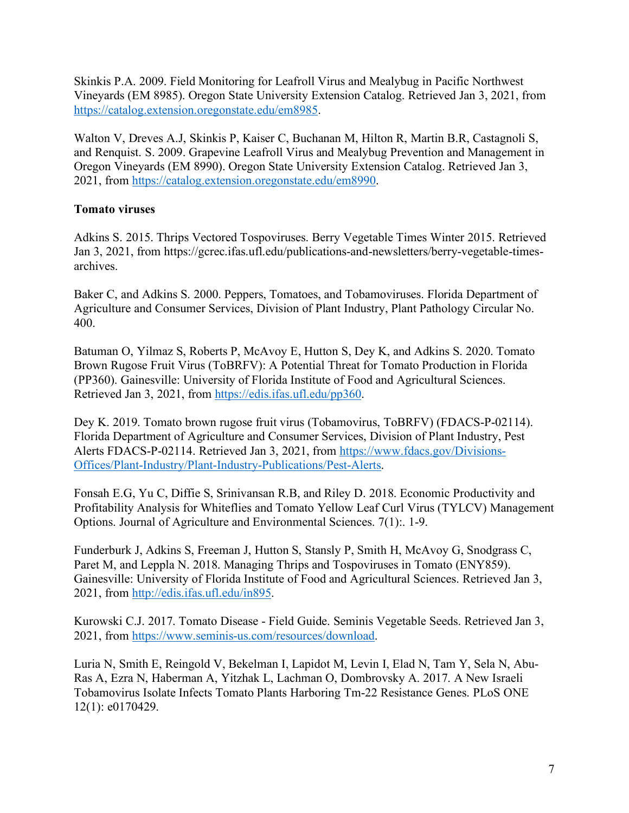Skinkis P.A. 2009. Field Monitoring for Leafroll Virus and Mealybug in Pacific Northwest Vineyards (EM 8985). Oregon State University Extension Catalog. Retrieved Jan 3, 2021, from https://catalog.extension.oregonstate.edu/em8985.

Walton V, Dreves A.J, Skinkis P, Kaiser C, Buchanan M, Hilton R, Martin B.R, Castagnoli S, and Renquist. S. 2009. Grapevine Leafroll Virus and Mealybug Prevention and Management in Oregon Vineyards (EM 8990). Oregon State University Extension Catalog. Retrieved Jan 3, 2021, from https://catalog.extension.oregonstate.edu/em8990.

## **Tomato viruses**

Adkins S. 2015. Thrips Vectored Tospoviruses. Berry Vegetable Times Winter 2015. Retrieved Jan 3, 2021, from https://gcrec.ifas.ufl.edu/publications-and-newsletters/berry-vegetable-timesarchives.

Baker C, and Adkins S. 2000. Peppers, Tomatoes, and Tobamoviruses. Florida Department of Agriculture and Consumer Services, Division of Plant Industry, Plant Pathology Circular No. 400.

Batuman O, Yilmaz S, Roberts P, McAvoy E, Hutton S, Dey K, and Adkins S. 2020. Tomato Brown Rugose Fruit Virus (ToBRFV): A Potential Threat for Tomato Production in Florida (PP360). Gainesville: University of Florida Institute of Food and Agricultural Sciences. Retrieved Jan 3, 2021, from https://edis.ifas.ufl.edu/pp360.

Dey K. 2019. Tomato brown rugose fruit virus (Tobamovirus, ToBRFV) (FDACS-P-02114). Florida Department of Agriculture and Consumer Services, Division of Plant Industry, Pest Alerts FDACS-P-02114. Retrieved Jan 3, 2021, from https://www.fdacs.gov/Divisions-Offices/Plant-Industry/Plant-Industry-Publications/Pest-Alerts.

Fonsah E.G, Yu C, Diffie S, Srinivansan R.B, and Riley D. 2018. Economic Productivity and Profitability Analysis for Whiteflies and Tomato Yellow Leaf Curl Virus (TYLCV) Management Options. Journal of Agriculture and Environmental Sciences. 7(1):. 1-9.

Funderburk J, Adkins S, Freeman J, Hutton S, Stansly P, Smith H, McAvoy G, Snodgrass C, Paret M, and Leppla N. 2018. Managing Thrips and Tospoviruses in Tomato (ENY859). Gainesville: University of Florida Institute of Food and Agricultural Sciences. Retrieved Jan 3, 2021, from http://edis.ifas.ufl.edu/in895.

Kurowski C.J. 2017. Tomato Disease - Field Guide. Seminis Vegetable Seeds. Retrieved Jan 3, 2021, from https://www.seminis-us.com/resources/download.

Luria N, Smith E, Reingold V, Bekelman I, Lapidot M, Levin I, Elad N, Tam Y, Sela N, Abu-Ras A, Ezra N, Haberman A, Yitzhak L, Lachman O, Dombrovsky A. 2017. A New Israeli Tobamovirus Isolate Infects Tomato Plants Harboring Tm-22 Resistance Genes. PLoS ONE 12(1): e0170429.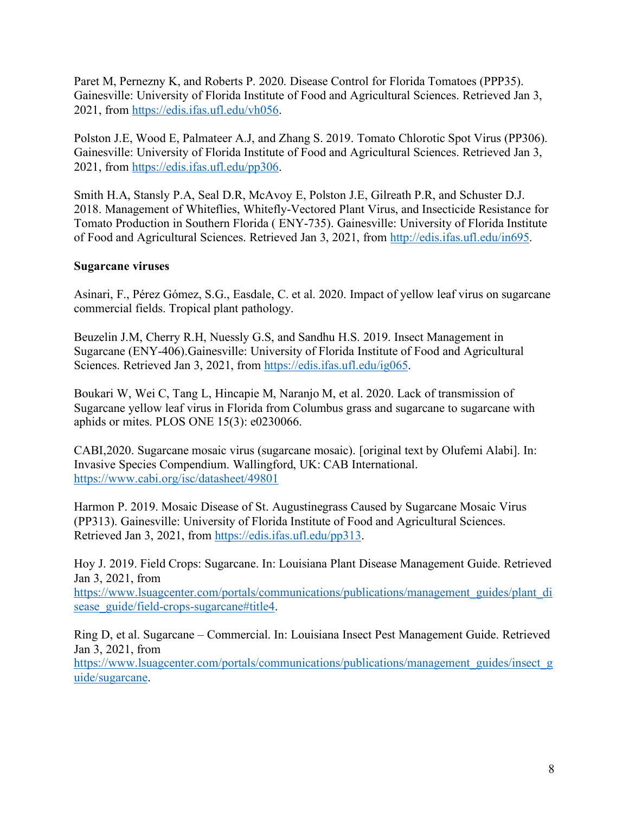Paret M, Pernezny K, and Roberts P. 2020. Disease Control for Florida Tomatoes (PPP35). Gainesville: University of Florida Institute of Food and Agricultural Sciences. Retrieved Jan 3, 2021, from https://edis.ifas.ufl.edu/vh056.

Polston J.E, Wood E, Palmateer A.J, and Zhang S. 2019. Tomato Chlorotic Spot Virus (PP306). Gainesville: University of Florida Institute of Food and Agricultural Sciences. Retrieved Jan 3, 2021, from https://edis.ifas.ufl.edu/pp306.

Smith H.A, Stansly P.A, Seal D.R, McAvoy E, Polston J.E, Gilreath P.R, and Schuster D.J. 2018. Management of Whiteflies, Whitefly-Vectored Plant Virus, and Insecticide Resistance for Tomato Production in Southern Florida ( ENY-735). Gainesville: University of Florida Institute of Food and Agricultural Sciences. Retrieved Jan 3, 2021, from http://edis.ifas.ufl.edu/in695.

#### **Sugarcane viruses**

Asinari, F., Pérez Gómez, S.G., Easdale, C. et al. 2020. Impact of yellow leaf virus on sugarcane commercial fields. Tropical plant pathology.

Beuzelin J.M, Cherry R.H, Nuessly G.S, and Sandhu H.S. 2019. Insect Management in Sugarcane (ENY-406).Gainesville: University of Florida Institute of Food and Agricultural Sciences. Retrieved Jan 3, 2021, from https://edis.ifas.ufl.edu/ig065.

Boukari W, Wei C, Tang L, Hincapie M, Naranjo M, et al. 2020. Lack of transmission of Sugarcane yellow leaf virus in Florida from Columbus grass and sugarcane to sugarcane with aphids or mites. PLOS ONE 15(3): e0230066.

CABI,2020. Sugarcane mosaic virus (sugarcane mosaic). [original text by Olufemi Alabi]. In: Invasive Species Compendium. Wallingford, UK: CAB International. https://www.cabi.org/isc/datasheet/49801

Harmon P. 2019. Mosaic Disease of St. Augustinegrass Caused by Sugarcane Mosaic Virus (PP313). Gainesville: University of Florida Institute of Food and Agricultural Sciences. Retrieved Jan 3, 2021, from https://edis.ifas.ufl.edu/pp313.

Hoy J. 2019. Field Crops: Sugarcane. In: Louisiana Plant Disease Management Guide. Retrieved Jan 3, 2021, from

https://www.lsuagcenter.com/portals/communications/publications/management\_guides/plant\_di sease\_guide/field-crops-sugarcane#title4.

Ring D, et al. Sugarcane – Commercial. In: Louisiana Insect Pest Management Guide. Retrieved Jan 3, 2021, from

https://www.lsuagcenter.com/portals/communications/publications/management\_guides/insect\_g uide/sugarcane.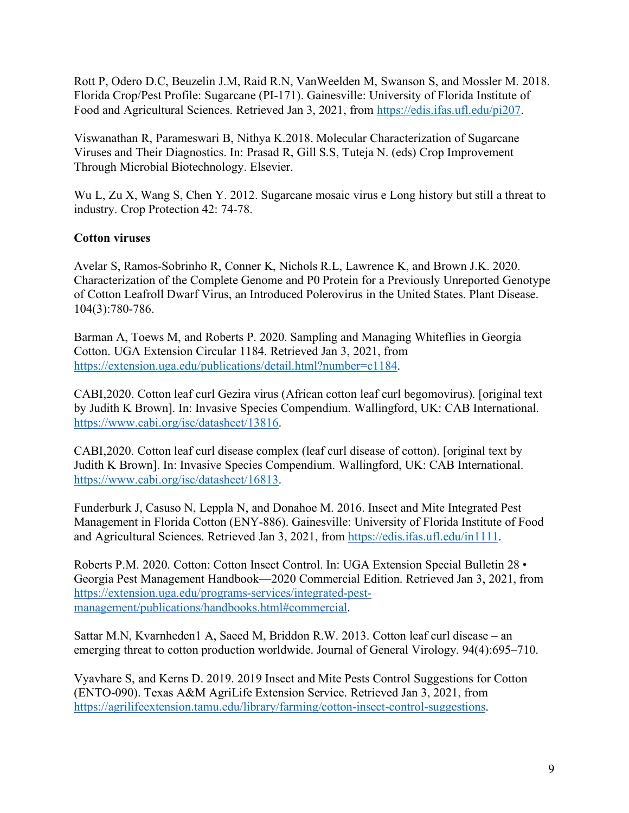Rott P, Odero D.C, Beuzelin J.M, Raid R.N, VanWeelden M, Swanson S, and Mossler M. 2018. Florida Crop/Pest Profile: Sugarcane (PI-171). Gainesville: University of Florida Institute of Food and Agricultural Sciences. Retrieved Jan 3, 2021, from https://edis.ifas.ufl.edu/pi207.

Viswanathan R, Parameswari B, Nithya K.2018. Molecular Characterization of Sugarcane Viruses and Their Diagnostics. In: Prasad R, Gill S.S, Tuteja N. (eds) Crop Improvement Through Microbial Biotechnology. Elsevier.

Wu L, Zu X, Wang S, Chen Y. 2012. Sugarcane mosaic virus e Long history but still a threat to industry. Crop Protection 42: 74-78.

## **Cotton viruses**

Avelar S, Ramos-Sobrinho R, Conner K, Nichols R.L, Lawrence K, and Brown J.K. 2020. Characterization of the Complete Genome and P0 Protein for a Previously Unreported Genotype of Cotton Leafroll Dwarf Virus, an Introduced Polerovirus in the United States. Plant Disease. 104(3):780-786.

Barman A, Toews M, and Roberts P. 2020. Sampling and Managing Whiteflies in Georgia Cotton. UGA Extension Circular 1184. Retrieved Jan 3, 2021, from https://extension.uga.edu/publications/detail.html?number=c1184.

CABI,2020. Cotton leaf curl Gezira virus (African cotton leaf curl begomovirus). [original text by Judith K Brown]. In: Invasive Species Compendium. Wallingford, UK: CAB International. https://www.cabi.org/isc/datasheet/13816.

CABI,2020. Cotton leaf curl disease complex (leaf curl disease of cotton). [original text by Judith K Brown]. In: Invasive Species Compendium. Wallingford, UK: CAB International. https://www.cabi.org/isc/datasheet/16813.

Funderburk J, Casuso N, Leppla N, and Donahoe M. 2016. Insect and Mite Integrated Pest Management in Florida Cotton (ENY-886). Gainesville: University of Florida Institute of Food and Agricultural Sciences. Retrieved Jan 3, 2021, from https://edis.ifas.ufl.edu/in1111.

Roberts P.M. 2020. Cotton: Cotton Insect Control. In: UGA Extension Special Bulletin 28 • Georgia Pest Management Handbook—2020 Commercial Edition. Retrieved Jan 3, 2021, from https://extension.uga.edu/programs-services/integrated-pestmanagement/publications/handbooks.html#commercial.

Sattar M.N, Kvarnheden1 A, Saeed M, Briddon R.W. 2013. Cotton leaf curl disease – an emerging threat to cotton production worldwide. Journal of General Virology. 94(4):695–710.

Vyavhare S, and Kerns D. 2019. 2019 Insect and Mite Pests Control Suggestions for Cotton (ENTO-090). Texas A&M AgriLife Extension Service. Retrieved Jan 3, 2021, from https://agrilifeextension.tamu.edu/library/farming/cotton-insect-control-suggestions.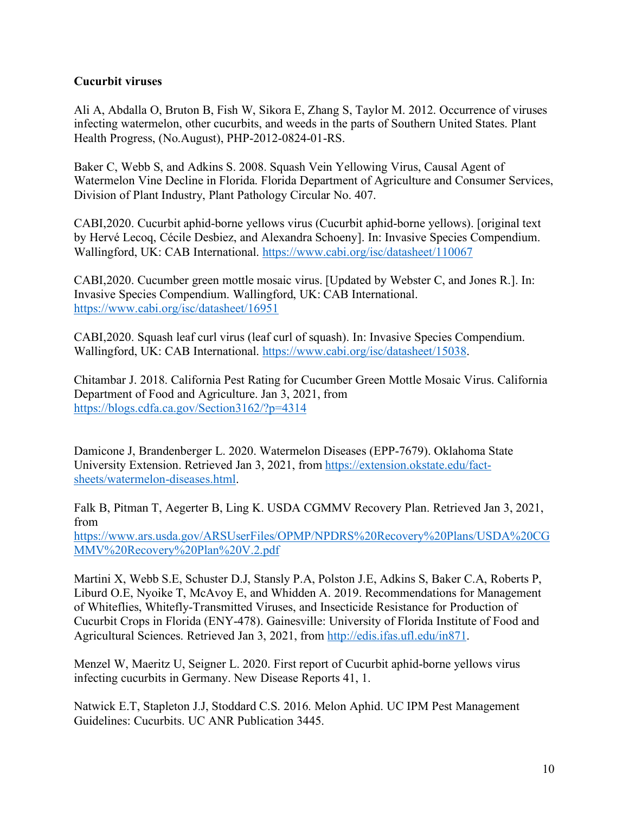## **Cucurbit viruses**

Ali A, Abdalla O, Bruton B, Fish W, Sikora E, Zhang S, Taylor M. 2012. Occurrence of viruses infecting watermelon, other cucurbits, and weeds in the parts of Southern United States. Plant Health Progress, (No.August), PHP-2012-0824-01-RS.

Baker C, Webb S, and Adkins S. 2008. Squash Vein Yellowing Virus, Causal Agent of Watermelon Vine Decline in Florida. Florida Department of Agriculture and Consumer Services, Division of Plant Industry, Plant Pathology Circular No. 407.

CABI,2020. Cucurbit aphid-borne yellows virus (Cucurbit aphid-borne yellows). [original text by Hervé Lecoq, Cécile Desbiez, and Alexandra Schoeny]. In: Invasive Species Compendium. Wallingford, UK: CAB International. https://www.cabi.org/isc/datasheet/110067

CABI,2020. Cucumber green mottle mosaic virus. [Updated by Webster C, and Jones R.]. In: Invasive Species Compendium. Wallingford, UK: CAB International. https://www.cabi.org/isc/datasheet/16951

CABI,2020. Squash leaf curl virus (leaf curl of squash). In: Invasive Species Compendium. Wallingford, UK: CAB International. https://www.cabi.org/isc/datasheet/15038.

Chitambar J. 2018. California Pest Rating for Cucumber Green Mottle Mosaic Virus. California Department of Food and Agriculture. Jan 3, 2021, from https://blogs.cdfa.ca.gov/Section3162/?p=4314

Damicone J, Brandenberger L. 2020. Watermelon Diseases (EPP-7679). Oklahoma State University Extension. Retrieved Jan 3, 2021, from https://extension.okstate.edu/factsheets/watermelon-diseases.html.

Falk B, Pitman T, Aegerter B, Ling K. USDA CGMMV Recovery Plan. Retrieved Jan 3, 2021, from

https://www.ars.usda.gov/ARSUserFiles/OPMP/NPDRS%20Recovery%20Plans/USDA%20CG MMV%20Recovery%20Plan%20V.2.pdf

Martini X, Webb S.E, Schuster D.J, Stansly P.A, Polston J.E, Adkins S, Baker C.A, Roberts P, Liburd O.E, Nyoike T, McAvoy E, and Whidden A. 2019. Recommendations for Management of Whiteflies, Whitefly-Transmitted Viruses, and Insecticide Resistance for Production of Cucurbit Crops in Florida (ENY-478). Gainesville: University of Florida Institute of Food and Agricultural Sciences. Retrieved Jan 3, 2021, from http://edis.ifas.ufl.edu/in871.

Menzel W, Maeritz U, Seigner L. 2020. First report of Cucurbit aphid-borne yellows virus infecting cucurbits in Germany. New Disease Reports 41, 1.

Natwick E.T, Stapleton J.J, Stoddard C.S. 2016. Melon Aphid. UC IPM Pest Management Guidelines: Cucurbits. UC ANR Publication 3445.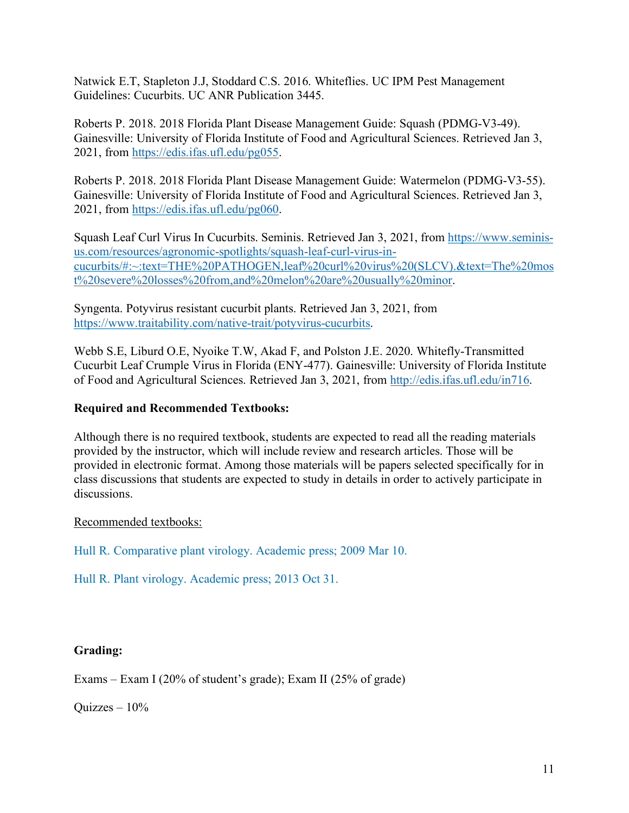Natwick E.T, Stapleton J.J, Stoddard C.S. 2016. Whiteflies. UC IPM Pest Management Guidelines: Cucurbits. UC ANR Publication 3445.

Roberts P. 2018. 2018 Florida Plant Disease Management Guide: Squash (PDMG-V3-49). Gainesville: University of Florida Institute of Food and Agricultural Sciences. Retrieved Jan 3, 2021, from https://edis.ifas.ufl.edu/pg055.

Roberts P. 2018. 2018 Florida Plant Disease Management Guide: Watermelon (PDMG-V3-55). Gainesville: University of Florida Institute of Food and Agricultural Sciences. Retrieved Jan 3, 2021, from https://edis.ifas.ufl.edu/pg060.

Squash Leaf Curl Virus In Cucurbits. Seminis. Retrieved Jan 3, 2021, from https://www.seminisus.com/resources/agronomic-spotlights/squash-leaf-curl-virus-incucurbits/#:~:text=THE%20PATHOGEN,leaf%20curl%20virus%20(SLCV).&text=The%20mos t%20severe%20losses%20from,and%20melon%20are%20usually%20minor.

Syngenta. Potyvirus resistant cucurbit plants. Retrieved Jan 3, 2021, from https://www.traitability.com/native-trait/potyvirus-cucurbits.

Webb S.E, Liburd O.E, Nyoike T.W, Akad F, and Polston J.E. 2020. Whitefly-Transmitted Cucurbit Leaf Crumple Virus in Florida (ENY-477). Gainesville: University of Florida Institute of Food and Agricultural Sciences. Retrieved Jan 3, 2021, from http://edis.ifas.ufl.edu/in716.

## **Required and Recommended Textbooks:**

Although there is no required textbook, students are expected to read all the reading materials provided by the instructor, which will include review and research articles. Those will be provided in electronic format. Among those materials will be papers selected specifically for in class discussions that students are expected to study in details in order to actively participate in discussions.

## Recommended textbooks:

Hull R. Comparative plant virology. Academic press; 2009 Mar 10.

Hull R. Plant virology. Academic press; 2013 Oct 31.

## **Grading:**

Exams – Exam I (20% of student's grade); Exam II (25% of grade)

Quizzes – 10%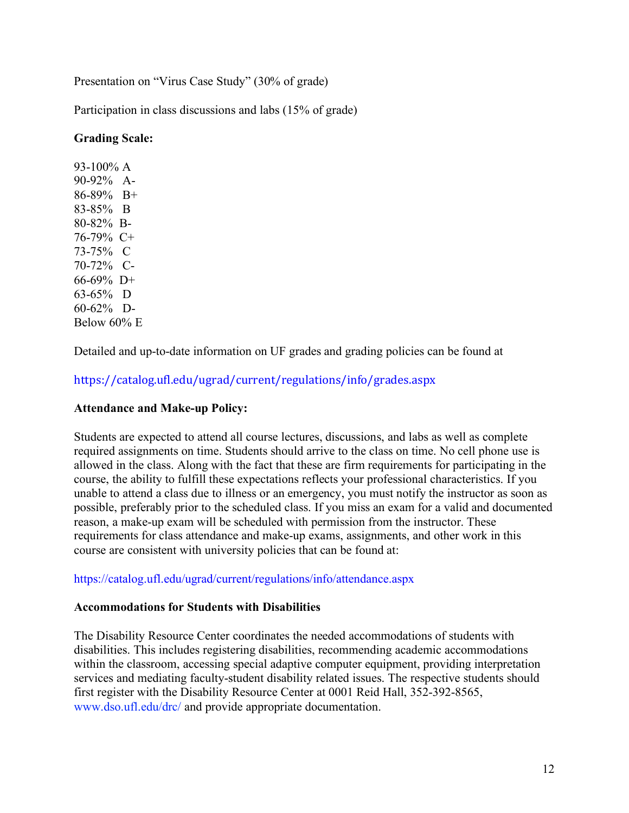Presentation on "Virus Case Study" (30% of grade)

Participation in class discussions and labs (15% of grade)

## **Grading Scale:**

93-100% A 90-92% A-86-89% B+ 83-85% B 80-82% B-76-79% C+ 73-75% C 70-72% C-66-69% D+ 63-65% D 60-62% D-Below 60% E

Detailed and up-to-date information on UF grades and grading policies can be found at

https://catalog.ufl.edu/ugrad/current/regulations/info/grades.aspx 

# **Attendance and Make-up Policy:**

Students are expected to attend all course lectures, discussions, and labs as well as complete required assignments on time. Students should arrive to the class on time. No cell phone use is allowed in the class. Along with the fact that these are firm requirements for participating in the course, the ability to fulfill these expectations reflects your professional characteristics. If you unable to attend a class due to illness or an emergency, you must notify the instructor as soon as possible, preferably prior to the scheduled class. If you miss an exam for a valid and documented reason, a make-up exam will be scheduled with permission from the instructor. These requirements for class attendance and make-up exams, assignments, and other work in this course are consistent with university policies that can be found at:

## https://catalog.ufl.edu/ugrad/current/regulations/info/attendance.aspx

## **Accommodations for Students with Disabilities**

The Disability Resource Center coordinates the needed accommodations of students with disabilities. This includes registering disabilities, recommending academic accommodations within the classroom, accessing special adaptive computer equipment, providing interpretation services and mediating faculty-student disability related issues. The respective students should first register with the Disability Resource Center at 0001 Reid Hall, 352-392-8565, www.dso.ufl.edu/drc/ and provide appropriate documentation.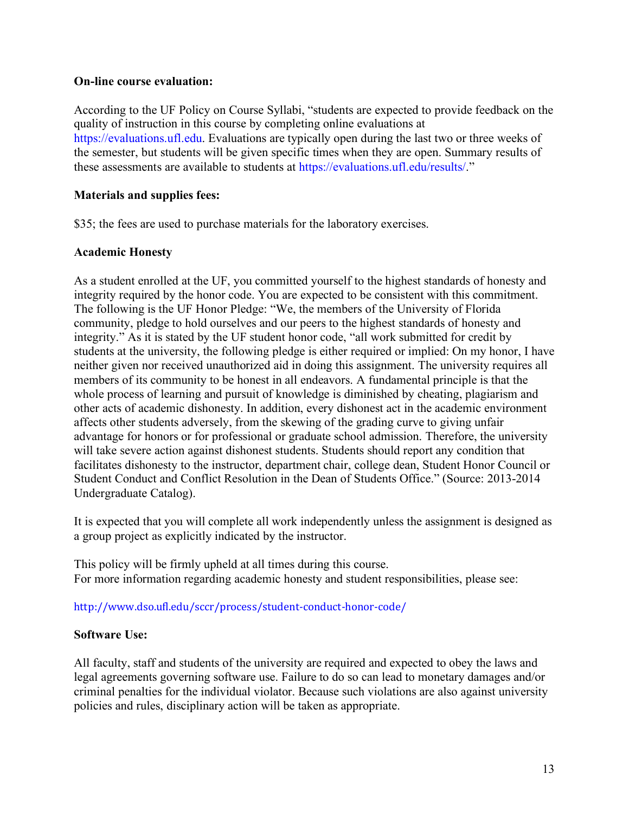#### **On-line course evaluation:**

According to the UF Policy on Course Syllabi, "students are expected to provide feedback on the quality of instruction in this course by completing online evaluations at https://evaluations.ufl.edu. Evaluations are typically open during the last two or three weeks of the semester, but students will be given specific times when they are open. Summary results of these assessments are available to students at https://evaluations.ufl.edu/results/."

## **Materials and supplies fees:**

\$35; the fees are used to purchase materials for the laboratory exercises.

## **Academic Honesty**

As a student enrolled at the UF, you committed yourself to the highest standards of honesty and integrity required by the honor code. You are expected to be consistent with this commitment. The following is the UF Honor Pledge: "We, the members of the University of Florida community, pledge to hold ourselves and our peers to the highest standards of honesty and integrity." As it is stated by the UF student honor code, "all work submitted for credit by students at the university, the following pledge is either required or implied: On my honor, I have neither given nor received unauthorized aid in doing this assignment. The university requires all members of its community to be honest in all endeavors. A fundamental principle is that the whole process of learning and pursuit of knowledge is diminished by cheating, plagiarism and other acts of academic dishonesty. In addition, every dishonest act in the academic environment affects other students adversely, from the skewing of the grading curve to giving unfair advantage for honors or for professional or graduate school admission. Therefore, the university will take severe action against dishonest students. Students should report any condition that facilitates dishonesty to the instructor, department chair, college dean, Student Honor Council or Student Conduct and Conflict Resolution in the Dean of Students Office." (Source: 2013-2014 Undergraduate Catalog).

It is expected that you will complete all work independently unless the assignment is designed as a group project as explicitly indicated by the instructor.

This policy will be firmly upheld at all times during this course. For more information regarding academic honesty and student responsibilities, please see:

#### http://www.dso.ufl.edu/sccr/process/student-conduct-honor-code/

## **Software Use:**

All faculty, staff and students of the university are required and expected to obey the laws and legal agreements governing software use. Failure to do so can lead to monetary damages and/or criminal penalties for the individual violator. Because such violations are also against university policies and rules, disciplinary action will be taken as appropriate.